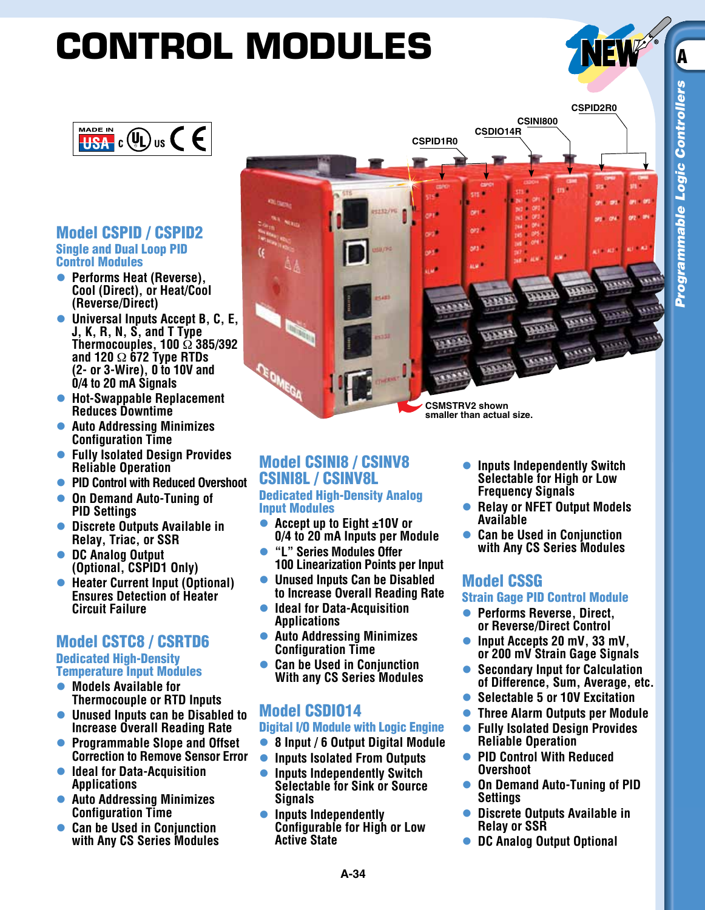# **CONTROL MODULES**



**CSPID2R0**

#### Model CSPID / CSPID2 Single and Dual Loop PID Control Modules

- l **Performs Heat (Reverse), Cool (Direct), or Heat/Cool (Reverse/Direct)**
- **Universal Inputs Accept B, C, E, J, K, R, N, S, and T Type Thermocouples, 100** Ω **385/392 and 120** Ω **672 Type RTDs (2- or 3-Wire), 0 to 10V and 0/4 to 20 mA Signals**
- **Hot-Swappable Replacement Reduces Downtime**
- **Auto Addressing Minimizes Configuration Time**
- **Fully Isolated Design Provides Reliable Operation**
- **PID Control with Reduced Overshoot**
- **On Demand Auto-Tuning of PID Settings**
- **Discrete Outputs Available in Relay, Triac, or SSR**
- l **DC Analog Output (Optional, CSPID1 Only)**
- **Heater Current Input (Optional) Ensures Detection of Heater Circuit Failure**

## Model CSTC8 / CSRTD6 Dedicated High-Density

## Temperature Input Modules

- **Models Available for Thermocouple or RTD Inputs**
- l **Unused Inputs can be Disabled to Increase Overall Reading Rate**
- l **Programmable Slope and Offset Correction to Remove Sensor Error**
- **Ideal for Data-Acquisition Applications**
- **Auto Addressing Minimizes Configuration Time**
- **Can be Used in Conjunction with Any CS Series Modules**

**CSMSTRV2 shown smaller than actual size.**

**CSPID1R0**

ori.

on the

a se

1112/10

**CSDIO14R**

an 1

orz<sup>i</sup>

ges:

as of L

**CSINI800**

#### Model CSINI8 / CSINV8 CSINI8L / CSINV8L Dedicated High-Density Analog Input Modules

- Accept up to Eight ±10V or **0/4 to 20 mA Inputs per Module**
- l **"L" Series Modules Offer 100 Linearization Points per Input**
- l **Unused Inputs Can be Disabled to Increase Overall Reading Rate**
- l **Ideal for Data-Acquisition Applications**
- **Auto Addressing Minimizes Configuration Time**
- l **Can be Used in Conjunction With any CS Series Modules**

# Model CSDIO14

### Digital I/O Module with Logic Engine

- l **8 Input / 6 Output Digital Module**
- **Inputs Isolated From Outputs**
- l **Inputs Independently Switch Selectable for Sink or Source Signals**
- **Inputs Independently Configurable for High or Low Active State**
- **Inputs Independently Switch Selectable for High or Low Frequency Signals**
- l **Relay or NFET Output Models Available**
- **Can be Used in Conjunction with Any CS Series Modules**

# Model CSSG

#### Strain Gage PID Control Module

- **Performs Reverse, Direct, or Reverse/Direct Control**
- l **Input Accepts 20 mV, 33 mV, or 200 mV Strain Gage Signals**
- l **Secondary Input for Calculation of Difference, Sum, Average, etc.**
- **Selectable 5 or 10V Excitation**
- l **Three Alarm Outputs per Module**
- l **Fully Isolated Design Provides Reliable Operation**
- **PID Control With Reduced Overshoot**
- **On Demand Auto-Tuning of PID Settings**
- l **Discrete Outputs Available in Relay or SSR**
- **DC Analog Output Optional**

A